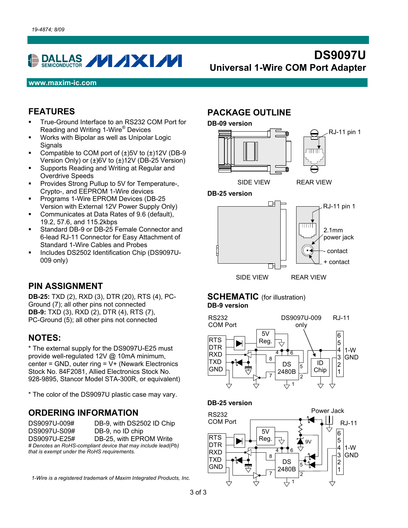# DALLAS **VIXI/V**

# **DS9097U Universal 1-Wire COM Port Adapter**

#### **www.maxim-ic.com**

#### **FEATURES**

- True-Ground Interface to an RS232 COM Port for Reading and Writing 1-Wire<sup>®</sup> Devices
- Works with Bipolar as well as Unipolar Logic **Signals**
- Compatible to COM port of  $(\pm)5V$  to  $(\pm)12V$  (DB-9 Version Only) or (±)6V to (±)12V (DB-25 Version)
- **Supports Reading and Writing at Regular and** Overdrive Speeds
- **Provides Strong Pullup to 5V for Temperature-,** Crypto-, and EEPROM 1-Wire devices
- Programs 1-Wire EPROM Devices (DB-25 Version with External 12V Power Supply Only)
- **Communicates at Data Rates of 9.6 (default),** 19.2, 57.6, and 115.2kbps
- Standard DB-9 or DB-25 Female Connector and 6-lead RJ-11 Connector for Easy Attachment of Standard 1-Wire Cables and Probes
- Includes DS2502 Identification Chip (DS9097U-009 only)

#### **PIN ASSIGNMENT**

**DB-25:** TXD (2), RXD (3), DTR (20), RTS (4), PC-Ground (7); all other pins not connected **DB-9:** TXD (3), RXD (2), DTR (4), RTS (7), PC-Ground (5); all other pins not connected

#### **NOTES:**

\* The external supply for the DS9097U-E25 must provide well-regulated 12V @ 10mA minimum, center = GND, outer ring =  $V +$  (Newark Electronics Stock No. 84F2081, Allied Electronics Stock No. 928-9895, Stancor Model STA-300R, or equivalent)

\* The color of the DS9097U plastic case may vary.

#### **ORDERING INFORMATION**

DS9097U-009# DB-9, with DS2502 ID Chip DS9097U-S09# DB-9, no ID chip DS9097U-E25# DB-25, with EPROM Write *# Denotes an RoHS-compliant device that may include lead(Pb) that is exempt under the RoHS requirements.* 

*1-Wire is a registered trademark of Maxim Integrated Products, Inc.* 

### **PACKAGE OUTLINE**







#### **SCHEMATIC** (for illustration) **DB-9 version**





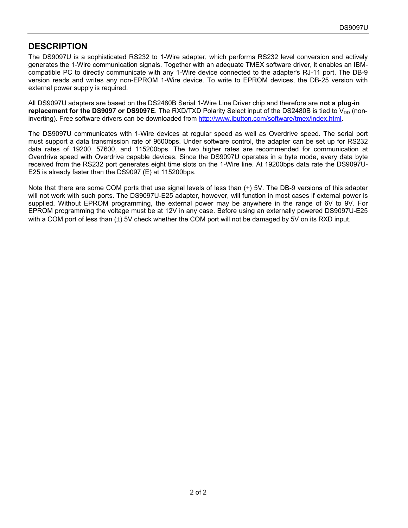### **DESCRIPTION**

The DS9097U is a sophisticated RS232 to 1-Wire adapter, which performs RS232 level conversion and actively generates the 1-Wire communication signals. Together with an adequate TMEX software driver, it enables an IBMcompatible PC to directly communicate with any 1-Wire device connected to the adapter's RJ-11 port. The DB-9 version reads and writes any non-EPROM 1-Wire device. To write to EPROM devices, the DB-25 version with external power supply is required.

All DS9097U adapters are based on the DS2480B Serial 1-Wire Line Driver chip and therefore are **not a plug-in replacement for the DS9097 or DS9097E**. The RXD/TXD Polarity Select input of the DS2480B is tied to  $V_{DD}$  (noninverting). Free software drivers can be downloaded from [http://www.ibutton.com/software/tmex/index.html.](http://www.ibutton.com/software/tmex/index.html)

The DS9097U communicates with 1-Wire devices at regular speed as well as Overdrive speed. The serial port must support a data transmission rate of 9600bps. Under software control, the adapter can be set up for RS232 data rates of 19200, 57600, and 115200bps. The two higher rates are recommended for communication at Overdrive speed with Overdrive capable devices. Since the DS9097U operates in a byte mode, every data byte received from the RS232 port generates eight time slots on the 1-Wire line. At 19200bps data rate the DS9097U-E25 is already faster than the DS9097 (E) at 115200bps.

Note that there are some COM ports that use signal levels of less than  $(\pm)$  5V. The DB-9 versions of this adapter will not work with such ports. The DS9097U-E25 adapter, however, will function in most cases if external power is supplied. Without EPROM programming, the external power may be anywhere in the range of 6V to 9V. For EPROM programming the voltage must be at 12V in any case. Before using an externally powered DS9097U-E25 with a COM port of less than  $(\pm)$  5V check whether the COM port will not be damaged by 5V on its RXD input.